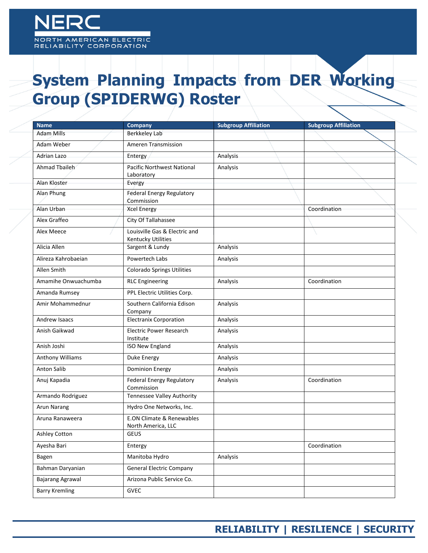## NORTH AMERICAN ELECTRIC<br>RELIABILITY CORPORATION

## **System Planning Impacts from DER Working Group (SPIDERWG) Roster**

| <b>Name</b>           | Company                                                    | <b>Subgroup Affiliation</b> | <b>Subgroup Affiliation</b> |
|-----------------------|------------------------------------------------------------|-----------------------------|-----------------------------|
| Adam Mills            | Berkkeley Lab                                              |                             |                             |
| Adam Weber            | <b>Ameren Transmission</b>                                 |                             |                             |
| Adrian Lazo           | Entergy                                                    | <b>Analysis</b>             |                             |
| Ahmad Tbaileh         | Pacific Northwest National<br>Laboratory                   | Analysis                    |                             |
| Alan Kloster          | Evergy                                                     |                             |                             |
| Alan Phung            | Federal Energy Regulatory<br>Commission                    |                             |                             |
| Alan Urban            | <b>Xcel Energy</b>                                         |                             | Coordination                |
| Alex Graffeo          | City Of Tallahassee                                        |                             |                             |
| Alex Meece            | Louisville Gas & Electric and<br><b>Kentucky Utilities</b> |                             |                             |
| Alicia Allen          | Sargent & Lundy                                            | Analysis                    |                             |
| Alireza Kahrobaejan   | Powertech Labs                                             | Analysis                    |                             |
| Allen Smith           | <b>Colorado Springs Utilities</b>                          |                             |                             |
| Amamihe Onwuachumba   | <b>RLC Engineering</b>                                     | Analysis                    | Coordination                |
| Amanda Rumsey         | PPL Electric Utilities Corp.                               |                             |                             |
| Amir Mohammednur      | Southern California Edison<br>Company                      | Analysis                    |                             |
| Andrew Isaacs         | <b>Electranix Corporation</b>                              | Analysis                    |                             |
| Anish Gaikwad         | <b>Electric Power Research</b><br>Institute                | Analysis                    |                             |
| Anish Joshi           | <b>ISO New England</b>                                     | Analysis                    |                             |
| Anthony Williams      | Duke Energy                                                | Analysis                    |                             |
| Anton Salib           | <b>Dominion Energy</b>                                     | Analysis                    |                             |
| Anuj Kapadia          | Federal Energy Regulatory<br>Commission                    | Analysis                    | Coordination                |
| Armando Rodriguez     | Tennessee Valley Authority                                 |                             |                             |
| <b>Arun Narang</b>    | Hydro One Networks, Inc.                                   |                             |                             |
| Aruna Ranaweera       | <b>E.ON Climate &amp; Renewables</b><br>North America, LLC |                             |                             |
| Ashley Cotton         | <b>GEUS</b>                                                |                             |                             |
| Ayesha Bari           | Entergy                                                    |                             | Coordination                |
| Bagen                 | Manitoba Hydro                                             | Analysis                    |                             |
| Bahman Daryanian      | <b>General Electric Company</b>                            |                             |                             |
| Bajarang Agrawal      | Arizona Public Service Co.                                 |                             |                             |
| <b>Barry Kremling</b> | GVEC                                                       |                             |                             |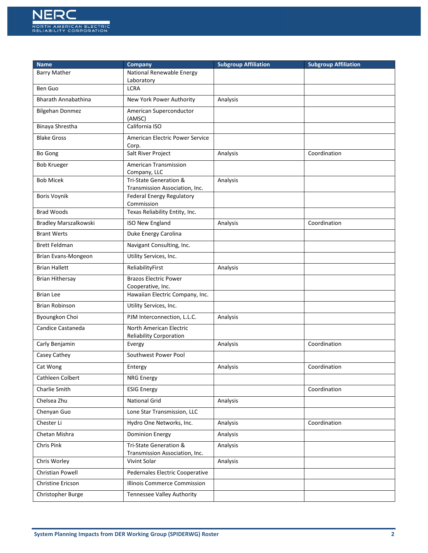

| <b>Name</b>                  | Company                                                   | <b>Subgroup Affiliation</b> | <b>Subgroup Affiliation</b> |
|------------------------------|-----------------------------------------------------------|-----------------------------|-----------------------------|
| <b>Barry Mather</b>          | National Renewable Energy<br>Laboratory                   |                             |                             |
| Ben Guo                      | <b>LCRA</b>                                               |                             |                             |
| <b>Bharath Annabathina</b>   | New York Power Authority                                  | Analysis                    |                             |
| <b>Bilgehan Donmez</b>       | American Superconductor<br>(AMSC)                         |                             |                             |
| Binaya Shrestha              | California ISO                                            |                             |                             |
| <b>Blake Gross</b>           | American Electric Power Service<br>Corp.                  |                             |                             |
| Bo Gong                      | Salt River Project                                        | Analysis                    | Coordination                |
| <b>Bob Krueger</b>           | American Transmission<br>Company, LLC                     |                             |                             |
| <b>Bob Micek</b>             | Tri-State Generation &<br>Transmission Association, Inc.  | Analysis                    |                             |
| <b>Boris Voynik</b>          | Federal Energy Regulatory<br>Commission                   |                             |                             |
| <b>Brad Woods</b>            | Texas Reliability Entity, Inc.                            |                             |                             |
| <b>Bradley Marszalkowski</b> | <b>ISO New England</b>                                    | Analysis                    | Coordination                |
| <b>Brant Werts</b>           | Duke Energy Carolina                                      |                             |                             |
| <b>Brett Feldman</b>         | Navigant Consulting, Inc.                                 |                             |                             |
| Brian Evans-Mongeon          | Utility Services, Inc.                                    |                             |                             |
| <b>Brian Hallett</b>         | ReliabilityFirst                                          | Analysis                    |                             |
| <b>Brian Hithersay</b>       | <b>Brazos Electric Power</b><br>Cooperative, Inc.         |                             |                             |
| <b>Brian Lee</b>             | Hawaiian Electric Company, Inc.                           |                             |                             |
| <b>Brian Robinson</b>        | Utility Services, Inc.                                    |                             |                             |
| Byoungkon Choi               | PJM Interconnection, L.L.C.                               | Analysis                    |                             |
| Candice Castaneda            | North American Electric<br><b>Reliability Corporation</b> |                             |                             |
| Carly Benjamin               | Evergy                                                    | Analysis                    | Coordination                |
| Casey Cathey                 | Southwest Power Pool                                      |                             |                             |
| Cat Wong                     | Entergy                                                   | Analysis                    | Coordination                |
| Cathleen Colbert             | <b>NRG Energy</b>                                         |                             |                             |
| Charlie Smith                | <b>ESIG Energy</b>                                        |                             | Coordination                |
| Chelsea Zhu                  | <b>National Grid</b>                                      | Analysis                    |                             |
| Chenyan Guo                  | Lone Star Transmission, LLC                               |                             |                             |
| Chester Li                   | Hydro One Networks, Inc.                                  | Analysis                    | Coordination                |
| Chetan Mishra                | <b>Dominion Energy</b>                                    | Analysis                    |                             |
| Chris Pink                   | Tri-State Generation &<br>Transmission Association, Inc.  | Analysis                    |                             |
| Chris Worley                 | Vivint Solar                                              | Analysis                    |                             |
| Christian Powell             | Pedernales Electric Cooperative                           |                             |                             |
| Christine Ericson            | Illinois Commerce Commission                              |                             |                             |
| Christopher Burge            | Tennessee Valley Authority                                |                             |                             |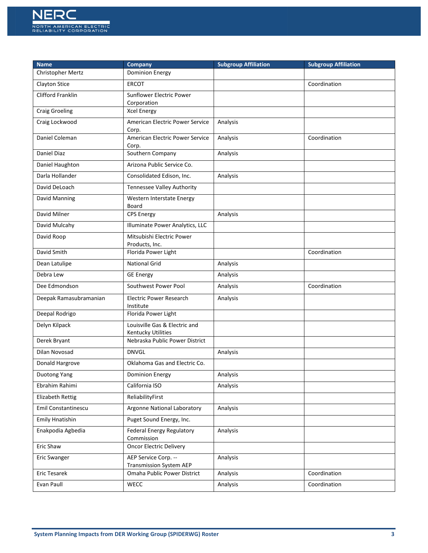

| <b>Name</b>                | Company                                                | <b>Subgroup Affiliation</b> | <b>Subgroup Affiliation</b> |
|----------------------------|--------------------------------------------------------|-----------------------------|-----------------------------|
| Christopher Mertz          | <b>Dominion Energy</b>                                 |                             |                             |
| <b>Clayton Stice</b>       | <b>ERCOT</b>                                           |                             | Coordination                |
| <b>Clifford Franklin</b>   | Sunflower Electric Power<br>Corporation                |                             |                             |
| <b>Craig Groeling</b>      | <b>Xcel Energy</b>                                     |                             |                             |
| Craig Lockwood             | American Electric Power Service<br>Corp.               | Analysis                    |                             |
| Daniel Coleman             | American Electric Power Service<br>Corp.               | Analysis                    | Coordination                |
| Daniel Diaz                | Southern Company                                       | Analysis                    |                             |
| Daniel Haughton            | Arizona Public Service Co.                             |                             |                             |
| Darla Hollander            | Consolidated Edison, Inc.                              | Analysis                    |                             |
| David DeLoach              | Tennessee Valley Authority                             |                             |                             |
| David Manning              | Western Interstate Energy<br>Board                     |                             |                             |
| David Milner               | <b>CPS Energy</b>                                      | Analysis                    |                             |
| David Mulcahy              | Illuminate Power Analytics, LLC                        |                             |                             |
| David Roop                 | Mitsubishi Electric Power<br>Products, Inc.            |                             |                             |
| David Smith                | Florida Power Light                                    |                             | Coordination                |
| Dean Latulipe              | <b>National Grid</b>                                   | Analysis                    |                             |
| Debra Lew                  | <b>GE Energy</b>                                       | Analysis                    |                             |
| Dee Edmondson              | Southwest Power Pool                                   | Analysis                    | Coordination                |
| Deepak Ramasubramanian     | <b>Electric Power Research</b><br>Institute            | Analysis                    |                             |
| Deepal Rodrigo             | Florida Power Light                                    |                             |                             |
| Delyn Kilpack              | Louisville Gas & Electric and<br>Kentucky Utilities    |                             |                             |
| Derek Bryant               | Nebraska Public Power District                         |                             |                             |
| Dilan Novosad              | <b>DNVGL</b>                                           | Analysis                    |                             |
| Donald Hargrove            | Oklahoma Gas and Electric Co.                          |                             |                             |
| Duotong Yang               | Dominion Energy                                        | Analysis                    |                             |
| Ebrahim Rahimi             | California ISO                                         | Analysis                    |                             |
| <b>Elizabeth Rettig</b>    | ReliabilityFirst                                       |                             |                             |
| <b>Emil Constantinescu</b> | Argonne National Laboratory                            | Analysis                    |                             |
| <b>Emily Hnatishin</b>     | Puget Sound Energy, Inc.                               |                             |                             |
| Enakpodia Agbedia          | Federal Energy Regulatory<br>Commission                | Analysis                    |                             |
| Eric Shaw                  | <b>Oncor Electric Delivery</b>                         |                             |                             |
| Eric Swanger               | AEP Service Corp. --<br><b>Transmission System AEP</b> | Analysis                    |                             |
| Eric Tesarek               | Omaha Public Power District                            | Analysis                    | Coordination                |
| Evan Paull                 | WECC                                                   | Analysis                    | Coordination                |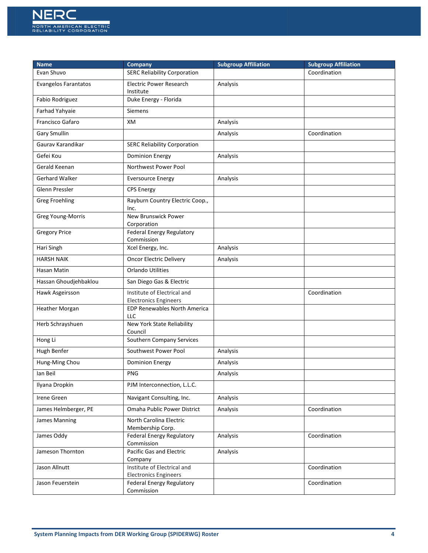

| <b>Name</b>                 | <b>Company</b>                                              | <b>Subgroup Affiliation</b> | <b>Subgroup Affiliation</b> |
|-----------------------------|-------------------------------------------------------------|-----------------------------|-----------------------------|
| Evan Shuvo                  | <b>SERC Reliability Corporation</b>                         |                             | Coordination                |
| <b>Evangelos Farantatos</b> | <b>Electric Power Research</b><br>Institute                 | Analysis                    |                             |
| Fabio Rodriguez             | Duke Energy - Florida                                       |                             |                             |
| Farhad Yahyaie              | <b>Siemens</b>                                              |                             |                             |
| Francisco Gafaro            | XM                                                          | Analysis                    |                             |
| Gary Smullin                |                                                             | Analysis                    | Coordination                |
| Gaurav Karandikar           | <b>SERC Reliability Corporation</b>                         |                             |                             |
| Gefei Kou                   | <b>Dominion Energy</b>                                      | Analysis                    |                             |
| Gerald Keenan               | Northwest Power Pool                                        |                             |                             |
| Gerhard Walker              | <b>Eversource Energy</b>                                    | Analysis                    |                             |
| Glenn Pressler              | <b>CPS Energy</b>                                           |                             |                             |
| <b>Greg Froehling</b>       | Rayburn Country Electric Coop.,                             |                             |                             |
| Greg Young-Morris           | Inc.<br>New Brunswick Power                                 |                             |                             |
|                             | Corporation                                                 |                             |                             |
| <b>Gregory Price</b>        | <b>Federal Energy Regulatory</b><br>Commission              |                             |                             |
| Hari Singh                  | Xcel Energy, Inc.                                           | Analysis                    |                             |
| <b>HARSH NAIK</b>           | Oncor Electric Delivery                                     | Analysis                    |                             |
| Hasan Matin                 | <b>Orlando Utilities</b>                                    |                             |                             |
| Hassan Ghoudjehbaklou       | San Diego Gas & Electric                                    |                             |                             |
| Hawk Asgeirsson             | Institute of Electrical and<br><b>Electronics Engineers</b> |                             | Coordination                |
| Heather Morgan              | EDP Renewables North America<br>LLC                         |                             |                             |
| Herb Schrayshuen            | New York State Reliability<br>Council                       |                             |                             |
| Hong Li                     | Southern Company Services                                   |                             |                             |
| Hugh Benfer                 | Southwest Power Pool                                        | Analysis                    |                             |
| Hung-Ming Chou              | <b>Dominion Energy</b>                                      | Analysis                    |                             |
| lan Beil                    | PNG                                                         | Analysis                    |                             |
| Ilyana Dropkin              | PJM Interconnection, L.L.C.                                 |                             |                             |
| <b>Irene Green</b>          | Navigant Consulting, Inc.                                   | Analysis                    |                             |
| James Helmberger, PE        | Omaha Public Power District                                 | Analysis                    | Coordination                |
| James Manning               | North Carolina Electric                                     |                             |                             |
| James Oddy                  | Membership Corp.<br>Federal Energy Regulatory               | Analysis                    | Coordination                |
|                             | Commission                                                  |                             |                             |
| Jameson Thornton            | <b>Pacific Gas and Electric</b><br>Company                  | Analysis                    |                             |
| Jason Allnutt               | Institute of Electrical and<br><b>Electronics Engineers</b> |                             | Coordination                |
| Jason Feuerstein            | Federal Energy Regulatory<br>Commission                     |                             | Coordination                |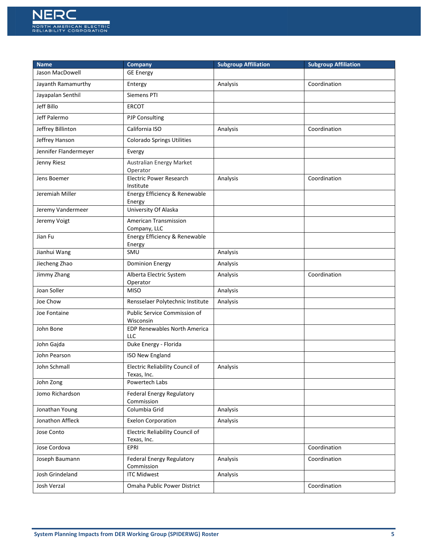

| <b>Name</b>           | <b>Company</b>                                    | <b>Subgroup Affiliation</b> | <b>Subgroup Affiliation</b> |
|-----------------------|---------------------------------------------------|-----------------------------|-----------------------------|
| Jason MacDowell       | <b>GE Energy</b>                                  |                             |                             |
| Jayanth Ramamurthy    | Entergy                                           | Analysis                    | Coordination                |
| Jayapalan Senthil     | Siemens PTI                                       |                             |                             |
| Jeff Billo            | <b>ERCOT</b>                                      |                             |                             |
| Jeff Palermo          | <b>PJP Consulting</b>                             |                             |                             |
| Jeffrey Billinton     | California ISO                                    | Analysis                    | Coordination                |
| Jeffrey Hanson        | <b>Colorado Springs Utilities</b>                 |                             |                             |
| Jennifer Flandermeyer | Evergy                                            |                             |                             |
| Jenny Riesz           | Australian Energy Market<br>Operator              |                             |                             |
| Jens Boemer           | Electric Power Research<br>Institute              | Analysis                    | Coordination                |
| Jeremiah Miller       | Energy Efficiency & Renewable<br>Energy           |                             |                             |
| Jeremy Vandermeer     | University Of Alaska                              |                             |                             |
| Jeremy Voigt          | American Transmission<br>Company, LLC             |                             |                             |
| Jian Fu               | Energy Efficiency & Renewable<br>Energy           |                             |                             |
| Jianhui Wang          | SMU                                               | Analysis                    |                             |
| Jiecheng Zhao         | <b>Dominion Energy</b>                            | Analysis                    |                             |
| Jimmy Zhang           | Alberta Electric System<br>Operator               | Analysis                    | Coordination                |
| Joan Soller           | <b>MISO</b>                                       | Analysis                    |                             |
| Joe Chow              | Rensselaer Polytechnic Institute                  | Analysis                    |                             |
| Joe Fontaine          | Public Service Commission of<br>Wisconsin         |                             |                             |
| John Bone             | <b>EDP Renewables North America</b><br><b>LLC</b> |                             |                             |
| John Gajda            | Duke Energy - Florida                             |                             |                             |
| John Pearson          | <b>ISO New England</b>                            |                             |                             |
| John Schmall          | Electric Reliability Council of<br>Texas, Inc.    | Analysis                    |                             |
| John Zong             | Powertech Labs                                    |                             |                             |
| Jomo Richardson       | Federal Energy Regulatory<br>Commission           |                             |                             |
| Jonathan Young        | Columbia Grid                                     | Analysis                    |                             |
| Jonathon Affleck      | <b>Exelon Corporation</b>                         | Analysis                    |                             |
| Jose Conto            | Electric Reliability Council of<br>Texas, Inc.    |                             |                             |
| Jose Cordova          | EPRI                                              |                             | Coordination                |
| Joseph Baumann        | Federal Energy Regulatory<br>Commission           | Analysis                    | Coordination                |
| Josh Grindeland       | <b>ITC Midwest</b>                                | Analysis                    |                             |
| Josh Verzal           | Omaha Public Power District                       |                             | Coordination                |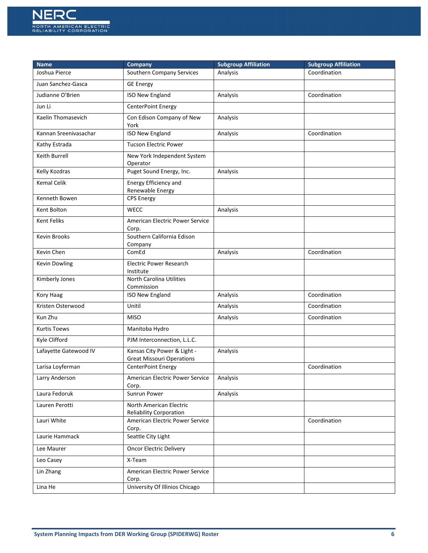

| <b>Name</b>           | <b>Company</b>                                                  | <b>Subgroup Affiliation</b> | <b>Subgroup Affiliation</b> |
|-----------------------|-----------------------------------------------------------------|-----------------------------|-----------------------------|
| Joshua Pierce         | Southern Company Services                                       | Analysis                    | Coordination                |
| Juan Sanchez-Gasca    | <b>GE Energy</b>                                                |                             |                             |
| Judianne O'Brien      | <b>ISO New England</b>                                          | Analysis                    | Coordination                |
| Jun Li                | CenterPoint Energy                                              |                             |                             |
| Kaelin Thomasevich    | Con Edison Company of New<br>York                               | Analysis                    |                             |
| Kannan Sreenivasachar | <b>ISO New England</b>                                          | Analysis                    | Coordination                |
| Kathy Estrada         | <b>Tucson Electric Power</b>                                    |                             |                             |
| Keith Burrell         | New York Independent System<br>Operator                         |                             |                             |
| Kelly Kozdras         | Puget Sound Energy, Inc.                                        | Analysis                    |                             |
| <b>Kemal Celik</b>    | Energy Efficiency and<br>Renewable Energy                       |                             |                             |
| Kenneth Bowen         | <b>CPS Energy</b>                                               |                             |                             |
| Kent Bolton           | WECC                                                            | Analysis                    |                             |
| <b>Kent Feliks</b>    | American Electric Power Service<br>Corp.                        |                             |                             |
| Kevin Brooks          | Southern California Edison<br>Company                           |                             |                             |
| Kevin Chen            | ComEd                                                           | Analysis                    | Coordination                |
| <b>Kevin Dowling</b>  | <b>Electric Power Research</b><br>Institute                     |                             |                             |
| Kimberly Jones        | <b>North Carolina Utilities</b><br>Commission                   |                             |                             |
| Kory Haag             | ISO New England                                                 | Analysis                    | Coordination                |
| Kristen Osterwood     | Unitil                                                          | Analysis                    | Coordination                |
| Kun Zhu               | <b>MISO</b>                                                     | Analysis                    | Coordination                |
| <b>Kurtis Toews</b>   | Manitoba Hydro                                                  |                             |                             |
| Kyle Clifford         | PJM Interconnection, L.L.C.                                     |                             |                             |
| Lafayette Gatewood IV | Kansas City Power & Light -<br><b>Great Missouri Operations</b> | Analysis                    |                             |
| Larisa Loyferman      | CenterPoint Energy                                              |                             | Coordination                |
| Larry Anderson        | American Electric Power Service<br>Corp.                        | Analysis                    |                             |
| Laura Fedoruk         | Sunrun Power                                                    | Analysis                    |                             |
| Lauren Perotti        | North American Electric<br><b>Reliability Corporation</b>       |                             |                             |
| Lauri White           | American Electric Power Service<br>Corp.                        |                             | Coordination                |
| Laurie Hammack        | Seattle City Light                                              |                             |                             |
| Lee Maurer            | <b>Oncor Electric Delivery</b>                                  |                             |                             |
| Leo Casey             | X-Team                                                          |                             |                             |
| Lin Zhang             | American Electric Power Service<br>Corp.                        |                             |                             |
| Lina He               | University Of Illinios Chicago                                  |                             |                             |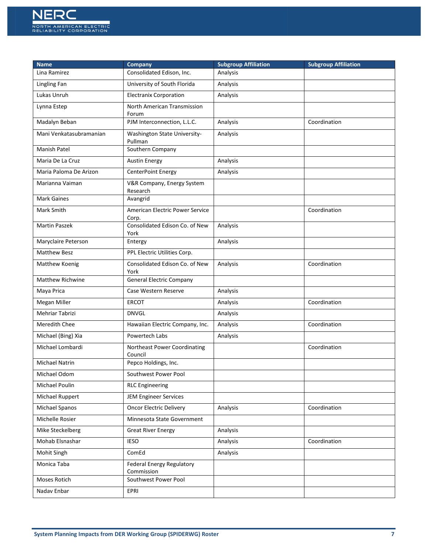

| <b>Name</b>             | <b>Company</b>                           | <b>Subgroup Affiliation</b> | <b>Subgroup Affiliation</b> |
|-------------------------|------------------------------------------|-----------------------------|-----------------------------|
| Lina Ramirez            | Consolidated Edison, Inc.                | Analysis                    |                             |
| Lingling Fan            | University of South Florida              | Analysis                    |                             |
| Lukas Unruh             | <b>Electranix Corporation</b>            | Analysis                    |                             |
| Lynna Estep             | North American Transmission<br>Forum     |                             |                             |
| Madalyn Beban           | PJM Interconnection, L.L.C.              | Analysis                    | Coordination                |
| Mani Venkatasubramanian | Washington State University-<br>Pullman  | Analysis                    |                             |
| Manish Patel            | Southern Company                         |                             |                             |
| Maria De La Cruz        | <b>Austin Energy</b>                     | Analysis                    |                             |
| Maria Paloma De Arizon  | CenterPoint Energy                       | Analysis                    |                             |
| Marianna Vaiman         | V&R Company, Energy System<br>Research   |                             |                             |
| <b>Mark Gaines</b>      | Avangrid                                 |                             |                             |
| Mark Smith              | American Electric Power Service<br>Corp. |                             | Coordination                |
| <b>Martin Paszek</b>    | Consolidated Edison Co. of New<br>York   | Analysis                    |                             |
| Maryclaire Peterson     | Entergy                                  | Analysis                    |                             |
| <b>Matthew Besz</b>     | PPL Electric Utilities Corp.             |                             |                             |
| Matthew Koenig          | Consolidated Edison Co. of New<br>York   | Analysis                    | Coordination                |
| <b>Matthew Richwine</b> | <b>General Electric Company</b>          |                             |                             |
| Maya Prica              | Case Western Reserve                     | Analysis                    |                             |
| Megan Miller            | <b>ERCOT</b>                             | Analysis                    | Coordination                |
| Mehriar Tabrizi         | <b>DNVGL</b>                             | Analysis                    |                             |
| Meredith Chee           | Hawaiian Electric Company, Inc.          | Analysis                    | Coordination                |
| Michael (Bing) Xia      | Powertech Labs                           | Analysis                    |                             |
| Michael Lombardi        | Northeast Power Coordinating<br>Council  |                             | Coordination                |
| Michael Natrin          | Pepco Holdings, Inc.                     |                             |                             |
| Michael Odom            | Southwest Power Pool                     |                             |                             |
| Michael Poulin          | <b>RLC Engineering</b>                   |                             |                             |
| Michael Ruppert         | <b>JEM Engineer Services</b>             |                             |                             |
| Michael Spanos          | <b>Oncor Electric Delivery</b>           | Analysis                    | Coordination                |
| Michelle Rosier         | Minnesota State Government               |                             |                             |
| Mike Steckelberg        | <b>Great River Energy</b>                | Analysis                    |                             |
| Mohab Elsnashar         | <b>IESO</b>                              | Analysis                    | Coordination                |
| Mohit Singh             | ComEd                                    | Analysis                    |                             |
| Monica Taba             | Federal Energy Regulatory<br>Commission  |                             |                             |
| Moses Rotich            | Southwest Power Pool                     |                             |                             |
| Nadav Enbar             | EPRI                                     |                             |                             |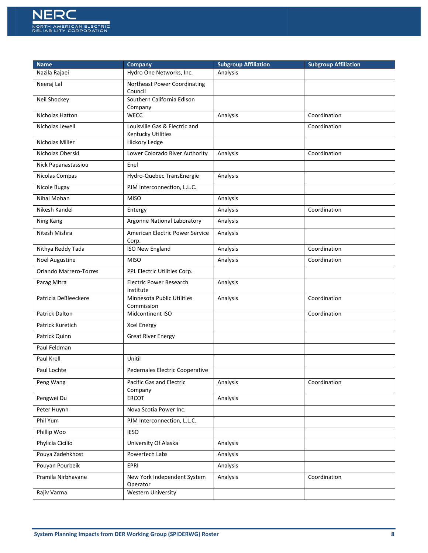

| <b>Name</b>                   | Company                                                    | <b>Subgroup Affiliation</b> | <b>Subgroup Affiliation</b> |
|-------------------------------|------------------------------------------------------------|-----------------------------|-----------------------------|
| Nazila Rajaei                 | Hydro One Networks, Inc.                                   | Analysis                    |                             |
| Neeraj Lal                    | Northeast Power Coordinating<br>Council                    |                             |                             |
| Neil Shockey                  | Southern California Edison<br>Company                      |                             |                             |
| <b>Nicholas Hatton</b>        | <b>WECC</b>                                                | Analysis                    | Coordination                |
| Nicholas Jewell               | Louisville Gas & Electric and<br><b>Kentucky Utilities</b> |                             | Coordination                |
| Nicholas Miller               | <b>Hickory Ledge</b>                                       |                             |                             |
| Nicholas Oberski              | Lower Colorado River Authority                             | Analysis                    | Coordination                |
| Nick Papanastassiou           | Enel                                                       |                             |                             |
| Nicolas Compas                | Hydro-Quebec TransEnergie                                  | Analysis                    |                             |
| Nicole Bugay                  | PJM Interconnection, L.L.C.                                |                             |                             |
| Nihal Mohan                   | <b>MISO</b>                                                | Analysis                    |                             |
| Nikesh Kandel                 | Entergy                                                    | Analysis                    | Coordination                |
| Ning Kang                     | Argonne National Laboratory                                | Analysis                    |                             |
| Nitesh Mishra                 | American Electric Power Service<br>Corp.                   | Analysis                    |                             |
| Nithya Reddy Tada             | <b>ISO New England</b>                                     | Analysis                    | Coordination                |
| Noel Augustine                | <b>MISO</b>                                                | Analysis                    | Coordination                |
| <b>Orlando Marrero-Torres</b> | PPL Electric Utilities Corp.                               |                             |                             |
| Parag Mitra                   | <b>Electric Power Research</b><br>Institute                | Analysis                    |                             |
| Patricia DeBleeckere          | Minnesota Public Utilities<br>Commission                   | Analysis                    | Coordination                |
| <b>Patrick Dalton</b>         | Midcontinent ISO                                           |                             | Coordination                |
| Patrick Kuretich              | <b>Xcel Energy</b>                                         |                             |                             |
| Patrick Quinn                 | <b>Great River Energy</b>                                  |                             |                             |
| Paul Feldman                  |                                                            |                             |                             |
| Paul Krell                    | Unitil                                                     |                             |                             |
| Paul Lochte                   | Pedernales Electric Cooperative                            |                             |                             |
| Peng Wang                     | <b>Pacific Gas and Electric</b><br>Company                 | Analysis                    | Coordination                |
| Pengwei Du                    | ERCOT                                                      | Analysis                    |                             |
| Peter Huynh                   | Nova Scotia Power Inc.                                     |                             |                             |
| Phil Yum                      | PJM Interconnection, L.L.C.                                |                             |                             |
| Phillip Woo                   | <b>IESO</b>                                                |                             |                             |
| Phylicia Cicilio              | University Of Alaska                                       | Analysis                    |                             |
| Pouya Zadehkhost              | Powertech Labs                                             | Analysis                    |                             |
| Pouyan Pourbeik               | EPRI                                                       | Analysis                    |                             |
| Pramila Nirbhavane            | New York Independent System<br>Operator                    | Analysis                    | Coordination                |
| Rajiv Varma                   | <b>Western University</b>                                  |                             |                             |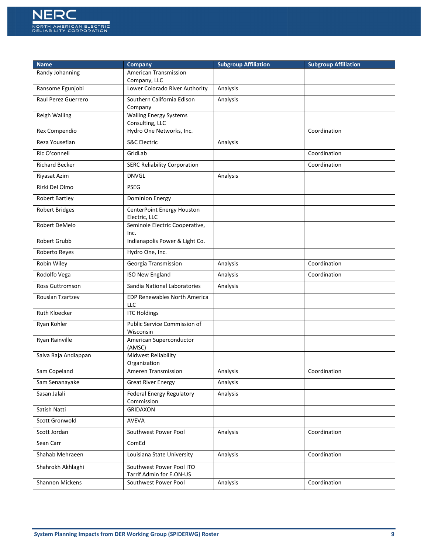

| <b>Name</b>           | Company                                              | <b>Subgroup Affiliation</b> | <b>Subgroup Affiliation</b> |
|-----------------------|------------------------------------------------------|-----------------------------|-----------------------------|
| Randy Johanning       | American Transmission<br>Company, LLC                |                             |                             |
| Ransome Egunjobi      | Lower Colorado River Authority                       | Analysis                    |                             |
| Raul Perez Guerrero   | Southern California Edison<br>Company                | Analysis                    |                             |
| <b>Reigh Walling</b>  | <b>Walling Energy Systems</b><br>Consulting, LLC     |                             |                             |
| Rex Compendio         | Hydro One Networks, Inc.                             |                             | Coordination                |
| Reza Yousefian        | <b>S&amp;C Electric</b>                              | Analysis                    |                             |
| Ric O'connell         | GridLab                                              |                             | Coordination                |
| <b>Richard Becker</b> | <b>SERC Reliability Corporation</b>                  |                             | Coordination                |
| Riyasat Azim          | <b>DNVGL</b>                                         | Analysis                    |                             |
| Rizki Del Olmo        | <b>PSEG</b>                                          |                             |                             |
| Robert Bartley        | <b>Dominion Energy</b>                               |                             |                             |
| <b>Robert Bridges</b> | CenterPoint Energy Houston<br>Electric, LLC          |                             |                             |
| Robert DeMelo         | Seminole Electric Cooperative,<br>Inc.               |                             |                             |
| Robert Grubb          | Indianapolis Power & Light Co.                       |                             |                             |
| Roberto Reyes         | Hydro One, Inc.                                      |                             |                             |
| Robin Wiley           | Georgia Transmission                                 | Analysis                    | Coordination                |
| Rodolfo Vega          | <b>ISO New England</b>                               | Analysis                    | Coordination                |
| Ross Guttromson       | Sandia National Laboratories                         | Analysis                    |                             |
| Rouslan Tzartzev      | <b>EDP Renewables North America</b><br>LLC           |                             |                             |
| Ruth Kloecker         | <b>ITC Holdings</b>                                  |                             |                             |
| Ryan Kohler           | Public Service Commission of<br>Wisconsin            |                             |                             |
| Ryan Rainville        | American Superconductor<br>(AMSC)                    |                             |                             |
| Salva Raja Andiappan  | <b>Midwest Reliability</b><br>Organization           |                             |                             |
| Sam Copeland          | <b>Ameren Transmission</b>                           | Analysis                    | Coordination                |
| Sam Senanayake        | <b>Great River Energy</b>                            | Analysis                    |                             |
| Sasan Jalali          | Federal Energy Regulatory<br>Commission              | Analysis                    |                             |
| Satish Natti          | GRIDAXON                                             |                             |                             |
| Scott Gronwold        | AVEVA                                                |                             |                             |
| Scott Jordan          | Southwest Power Pool                                 | Analysis                    | Coordination                |
| Sean Carr             | ComEd                                                |                             |                             |
| Shahab Mehraeen       | Louisiana State University                           | Analysis                    | Coordination                |
| Shahrokh Akhlaghi     | Southwest Power Pool ITO<br>Tarrif Admin for E.ON-US |                             |                             |
| Shannon Mickens       | Southwest Power Pool                                 | Analysis                    | Coordination                |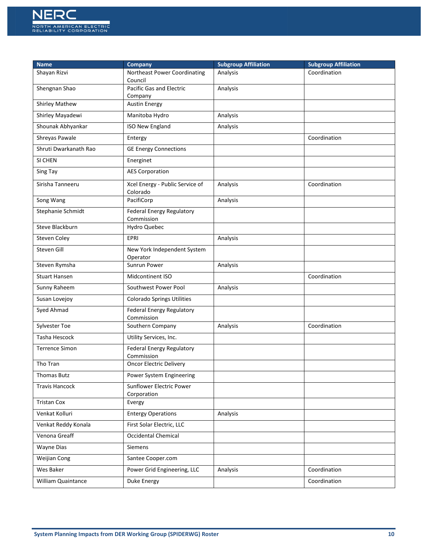

| <b>Name</b>           | Company                                     | <b>Subgroup Affiliation</b> | <b>Subgroup Affiliation</b> |
|-----------------------|---------------------------------------------|-----------------------------|-----------------------------|
| Shayan Rizvi          | Northeast Power Coordinating<br>Council     | Analysis                    | Coordination                |
| Shengnan Shao         | Pacific Gas and Electric<br>Company         | Analysis                    |                             |
| <b>Shirley Mathew</b> | <b>Austin Energy</b>                        |                             |                             |
| Shirley Mayadewi      | Manitoba Hydro                              | Analysis                    |                             |
| Shounak Abhyankar     | ISO New England                             | Analysis                    |                             |
| Shreyas Pawale        | Entergy                                     |                             | Coordination                |
| Shruti Dwarkanath Rao | <b>GE Energy Connections</b>                |                             |                             |
| SI CHEN               | Energinet                                   |                             |                             |
| Sing Tay              | <b>AES Corporation</b>                      |                             |                             |
| Sirisha Tanneeru      | Xcel Energy - Public Service of<br>Colorado | Analysis                    | Coordination                |
| Song Wang             | PacifiCorp                                  | Analysis                    |                             |
| Stephanie Schmidt     | Federal Energy Regulatory<br>Commission     |                             |                             |
| Steve Blackburn       | Hydro Quebec                                |                             |                             |
| Steven Coley          | EPRI                                        | Analysis                    |                             |
| Steven Gill           | New York Independent System<br>Operator     |                             |                             |
| Steven Rymsha         | Sunrun Power                                | Analysis                    |                             |
| <b>Stuart Hansen</b>  | Midcontinent ISO                            |                             | Coordination                |
| Sunny Raheem          | Southwest Power Pool                        | Analysis                    |                             |
| Susan Lovejoy         | Colorado Springs Utilities                  |                             |                             |
| Syed Ahmad            | Federal Energy Regulatory<br>Commission     |                             |                             |
| Sylvester Toe         | Southern Company                            | Analysis                    | Coordination                |
| Tasha Hescock         | Utility Services, Inc.                      |                             |                             |
| <b>Terrence Simon</b> | Federal Energy Regulatory<br>Commission     |                             |                             |
| Tho Tran              | <b>Oncor Electric Delivery</b>              |                             |                             |
| Thomas Butz           | Power System Engineering                    |                             |                             |
| <b>Travis Hancock</b> | Sunflower Electric Power<br>Corporation     |                             |                             |
| <b>Tristan Cox</b>    | Evergy                                      |                             |                             |
| Venkat Kolluri        | <b>Entergy Operations</b>                   | Analysis                    |                             |
| Venkat Reddy Konala   | First Solar Electric, LLC                   |                             |                             |
| Venona Greaff         | Occidental Chemical                         |                             |                             |
| Wayne Dias            | <b>Siemens</b>                              |                             |                             |
| Weijian Cong          | Santee Cooper.com                           |                             |                             |
| Wes Baker             | Power Grid Engineering, LLC                 | Analysis                    | Coordination                |
| William Quaintance    | Duke Energy                                 |                             | Coordination                |